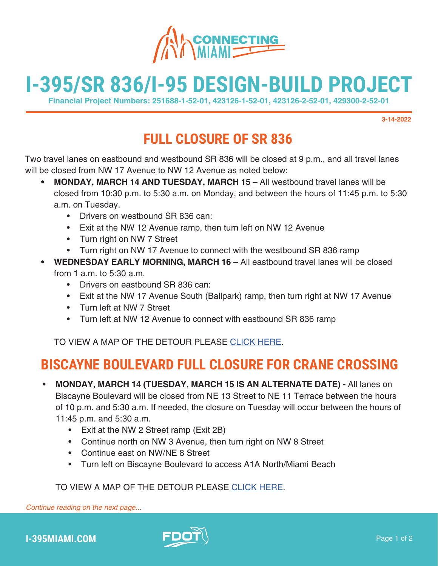

# **I-395/SR 836/I-95 DESIGN-BUILD PROJECT**

**Financial Project Numbers: 251688-1-52-01, 423126-1-52-01, 423126-2-52-01, 429300-2-52-01**

**3-14-2022**

## **FULL CLOSURE OF SR 836**

Two travel lanes on eastbound and westbound SR 836 will be closed at 9 p.m., and all travel lanes will be closed from NW 17 Avenue to NW 12 Avenue as noted below:

- **• MONDAY, MARCH 14 AND TUESDAY, MARCH 15** All westbound travel lanes will be closed from 10:30 p.m. to 5:30 a.m. on Monday, and between the hours of 11:45 p.m. to 5:30 a.m. on Tuesday.
	- Drivers on westbound SR 836 can:
	- Exit at the NW 12 Avenue ramp, then turn left on NW 12 Avenue
	- Turn right on NW 7 Street
	- Turn right on NW 17 Avenue to connect with the westbound SR 836 ramp
- **WEDNESDAY EARLY MORNING, MARCH 16** All eastbound travel lanes will be closed from 1 a.m. to 5:30 a.m.
	- Drivers on eastbound SR 836 can:
	- Exit at the NW 17 Avenue South (Ballpark) ramp, then turn right at NW 17 Avenue
	- Turn left at NW 7 Street
	- Turn left at NW 12 Avenue to connect with eastbound SR 836 ramp

TO VIEW A MAP OF THE DETOUR PLEASE [CLICK HERE.](https://www.i395-miami.com/alerts/details/Full-closure-SR836-Map.pdf)

### **BISCAYNE BOULEVARD FULL CLOSURE FOR CRANE CROSSING**

- **• MONDAY, MARCH 14 (TUESDAY, MARCH 15 IS AN ALTERNATE DATE)** All lanes on Biscayne Boulevard will be closed from NE 13 Street to NE 11 Terrace between the hours of 10 p.m. and 5:30 a.m. If needed, the closure on Tuesday will occur between the hours of 11:45 p.m. and 5:30 a.m.
	- Exit at the NW 2 Street ramp (Exit 2B)
	- Continue north on NW 3 Avenue, then turn right on NW 8 Street
	- Continue east on NW/NE 8 Street
	- Turn left on Biscayne Boulevard to access A1A North/Miami Beach

#### TO VIEW A MAP OF THE DETOUR PLEAS[E CLICK HERE.](https://i395-miami.com/alerts/details/Alert-395-WKNDBiscayneClosure-Map.pdf)

*Continue reading on the next page...*